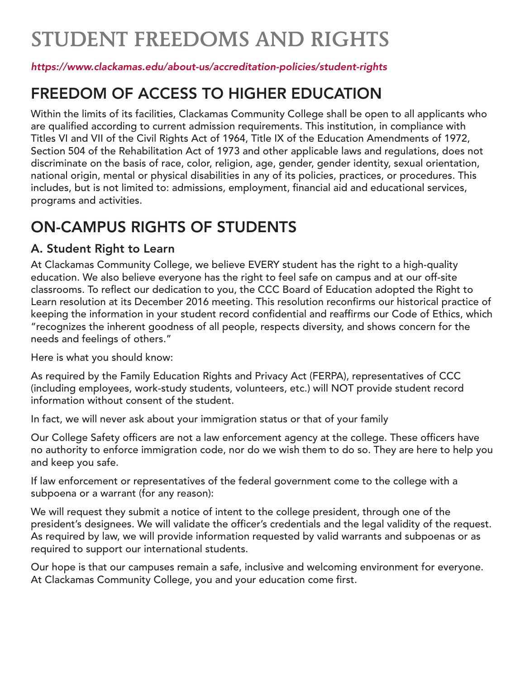# STUDENT FREEDOMS AND RIGHTS

#### *https://www.clackamas.edu/about-us/accreditation-policies/student-rights*

## FREEDOM OF ACCESS TO HIGHER EDUCATION

Within the limits of its facilities, Clackamas Community College shall be open to all applicants who are qualified according to current admission requirements. This institution, in compliance with Titles VI and VII of the Civil Rights Act of 1964, Title IX of the Education Amendments of 1972, Section 504 of the Rehabilitation Act of 1973 and other applicable laws and regulations, does not discriminate on the basis of race, color, religion, age, gender, gender identity, sexual orientation, national origin, mental or physical disabilities in any of its policies, practices, or procedures. This includes, but is not limited to: admissions, employment, financial aid and educational services, programs and activities.

# ON-CAMPUS RIGHTS OF STUDENTS

### A. Student Right to Learn

At Clackamas Community College, we believe EVERY student has the right to a high-quality education. We also believe everyone has the right to feel safe on campus and at our off-site classrooms. To reflect our dedication to you, the CCC Board of Education adopted the Right to Learn resolution at its December 2016 meeting. This resolution reconfirms our historical practice of keeping the information in your student record confidential and reaffirms our Code of Ethics, which "recognizes the inherent goodness of all people, respects diversity, and shows concern for the needs and feelings of others."

Here is what you should know:

As required by the Family Education Rights and Privacy Act (FERPA), representatives of CCC (including employees, work-study students, volunteers, etc.) will NOT provide student record information without consent of the student.

In fact, we will never ask about your immigration status or that of your family

Our College Safety officers are not a law enforcement agency at the college. These officers have no authority to enforce immigration code, nor do we wish them to do so. They are here to help you and keep you safe.

If law enforcement or representatives of the federal government come to the college with a subpoena or a warrant (for any reason):

We will request they submit a notice of intent to the college president, through one of the president's designees. We will validate the officer's credentials and the legal validity of the request. As required by law, we will provide information requested by valid warrants and subpoenas or as required to support our international students.

Our hope is that our campuses remain a safe, inclusive and welcoming environment for everyone. At Clackamas Community College, you and your education come first.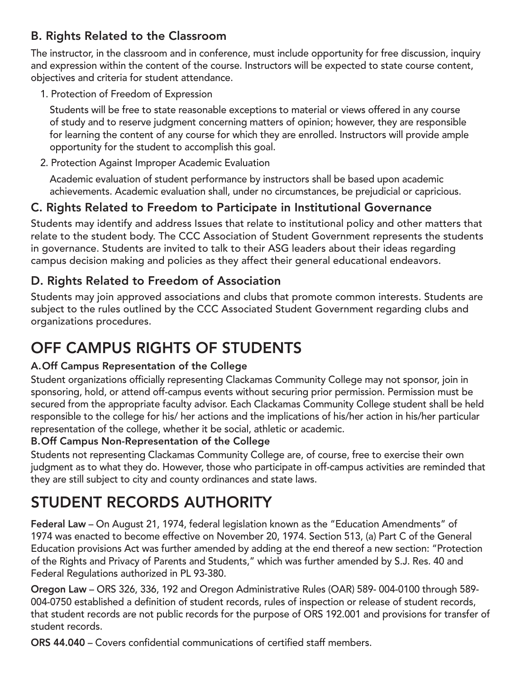### B. Rights Related to the Classroom

The instructor, in the classroom and in conference, must include opportunity for free discussion, inquiry and expression within the content of the course. Instructors will be expected to state course content, objectives and criteria for student attendance.

1. Protection of Freedom of Expression

 Students will be free to state reasonable exceptions to material or views offered in any course of study and to reserve judgment concerning matters of opinion; however, they are responsible for learning the content of any course for which they are enrolled. Instructors will provide ample opportunity for the student to accomplish this goal.

2. Protection Against Improper Academic Evaluation

 Academic evaluation of student performance by instructors shall be based upon academic achievements. Academic evaluation shall, under no circumstances, be prejudicial or capricious.

### C. Rights Related to Freedom to Participate in Institutional Governance

Students may identify and address Issues that relate to institutional policy and other matters that relate to the student body. The CCC Association of Student Government represents the students in governance. Students are invited to talk to their ASG leaders about their ideas regarding campus decision making and policies as they affect their general educational endeavors.

### D. Rights Related to Freedom of Association

Students may join approved associations and clubs that promote common interests. Students are subject to the rules outlined by the CCC Associated Student Government regarding clubs and organizations procedures.

# OFF CAMPUS RIGHTS OF STUDENTS

#### A. Off Campus Representation of the College

Student organizations officially representing Clackamas Community College may not sponsor, join in sponsoring, hold, or attend off-campus events without securing prior permission. Permission must be secured from the appropriate faculty advisor. Each Clackamas Community College student shall be held responsible to the college for his/ her actions and the implications of his/her action in his/her particular representation of the college, whether it be social, athletic or academic.

#### B. Off Campus Non-Representation of the College

Students not representing Clackamas Community College are, of course, free to exercise their own judgment as to what they do. However, those who participate in off-campus activities are reminded that they are still subject to city and county ordinances and state laws.

# STUDENT RECORDS AUTHORITY

Federal Law – On August 21, 1974, federal legislation known as the "Education Amendments" of 1974 was enacted to become effective on November 20, 1974. Section 513, (a) Part C of the General Education provisions Act was further amended by adding at the end thereof a new section: "Protection of the Rights and Privacy of Parents and Students," which was further amended by S.J. Res. 40 and Federal Regulations authorized in PL 93-380.

Oregon Law – ORS 326, 336, 192 and Oregon Administrative Rules (OAR) 589- 004-0100 through 589- 004-0750 established a definition of student records, rules of inspection or release of student records, that student records are not public records for the purpose of ORS 192.001 and provisions for transfer of student records.

ORS 44.040 – Covers confidential communications of certified staff members.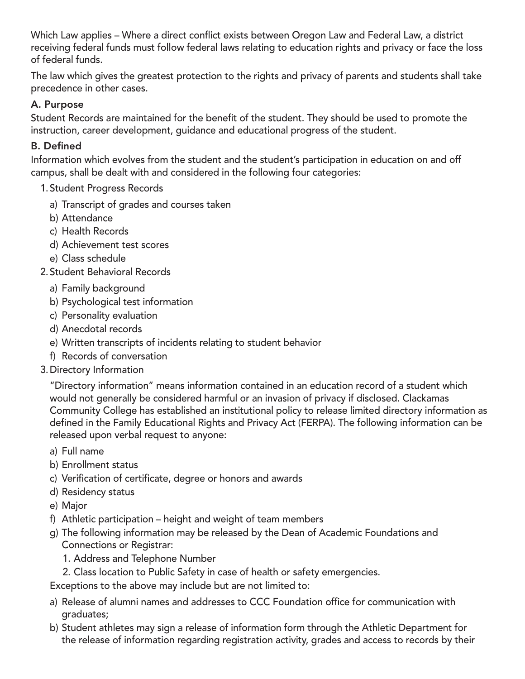Which Law applies – Where a direct conflict exists between Oregon Law and Federal Law, a district receiving federal funds must follow federal laws relating to education rights and privacy or face the loss of federal funds.

The law which gives the greatest protection to the rights and privacy of parents and students shall take precedence in other cases.

#### A. Purpose

Student Records are maintained for the benefit of the student. They should be used to promote the instruction, career development, guidance and educational progress of the student.

#### B. Defined

Information which evolves from the student and the student's participation in education on and off campus, shall be dealt with and considered in the following four categories:

#### 1. Student Progress Records

- a) Transcript of grades and courses taken
- b) Attendance
- c) Health Records
- d) Achievement test scores
- e) Class schedule
- 2. Student Behavioral Records
	- a) Family background
	- b) Psychological test information
	- c) Personality evaluation
	- d) Anecdotal records
	- e) Written transcripts of incidents relating to student behavior
	- f) Records of conversation
- 3. Directory Information

 "Directory information" means information contained in an education record of a student which would not generally be considered harmful or an invasion of privacy if disclosed. Clackamas Community College has established an institutional policy to release limited directory information as defined in the Family Educational Rights and Privacy Act (FERPA). The following information can be released upon verbal request to anyone:

- a) Full name
- b) Enrollment status
- c) Verification of certificate, degree or honors and awards
- d) Residency status
- e) Major
- f) Athletic participation height and weight of team members
- g) The following information may be released by the Dean of Academic Foundations and Connections or Registrar:
	- 1. Address and Telephone Number
	- 2. Class location to Public Safety in case of health or safety emergencies.

Exceptions to the above may include but are not limited to:

- a) Release of alumni names and addresses to CCC Foundation office for communication with graduates;
- b) Student athletes may sign a release of information form through the Athletic Department for the release of information regarding registration activity, grades and access to records by their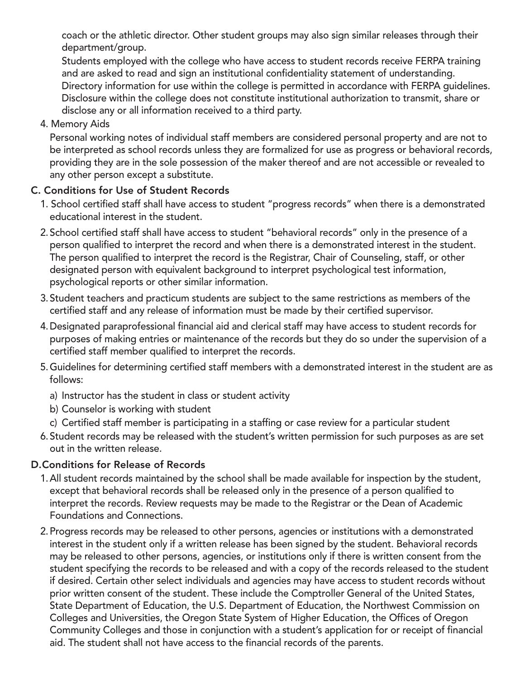coach or the athletic director. Other student groups may also sign similar releases through their department/group.

 Students employed with the college who have access to student records receive FERPA training and are asked to read and sign an institutional confidentiality statement of understanding. Directory information for use within the college is permitted in accordance with FERPA guidelines. Disclosure within the college does not constitute institutional authorization to transmit, share or disclose any or all information received to a third party.

4. Memory Aids

 Personal working notes of individual staff members are considered personal property and are not to be interpreted as school records unless they are formalized for use as progress or behavioral records, providing they are in the sole possession of the maker thereof and are not accessible or revealed to any other person except a substitute.

#### C. Conditions for Use of Student Records

- 1. School certified staff shall have access to student "progress records" when there is a demonstrated educational interest in the student.
- 2. School certified staff shall have access to student "behavioral records" only in the presence of a person qualified to interpret the record and when there is a demonstrated interest in the student. The person qualified to interpret the record is the Registrar, Chair of Counseling, staff, or other designated person with equivalent background to interpret psychological test information, psychological reports or other similar information.
- 3. Student teachers and practicum students are subject to the same restrictions as members of the certified staff and any release of information must be made by their certified supervisor.
- 4. Designated paraprofessional financial aid and clerical staff may have access to student records for purposes of making entries or maintenance of the records but they do so under the supervision of a certified staff member qualified to interpret the records.
- 5. Guidelines for determining certified staff members with a demonstrated interest in the student are as follows:
	- a) Instructor has the student in class or student activity
	- b) Counselor is working with student
	- c) Certified staff member is participating in a staffing or case review for a particular student
- 6. Student records may be released with the student's written permission for such purposes as are set out in the written release.

#### D. Conditions for Release of Records

- 1. All student records maintained by the school shall be made available for inspection by the student, except that behavioral records shall be released only in the presence of a person qualified to interpret the records. Review requests may be made to the Registrar or the Dean of Academic Foundations and Connections.
- 2. Progress records may be released to other persons, agencies or institutions with a demonstrated interest in the student only if a written release has been signed by the student. Behavioral records may be released to other persons, agencies, or institutions only if there is written consent from the student specifying the records to be released and with a copy of the records released to the student if desired. Certain other select individuals and agencies may have access to student records without prior written consent of the student. These include the Comptroller General of the United States, State Department of Education, the U.S. Department of Education, the Northwest Commission on Colleges and Universities, the Oregon State System of Higher Education, the Offices of Oregon Community Colleges and those in conjunction with a student's application for or receipt of financial aid. The student shall not have access to the financial records of the parents.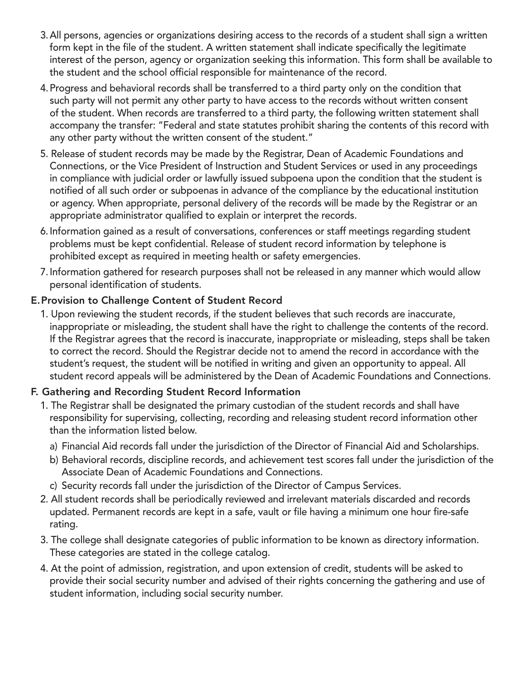- 3. All persons, agencies or organizations desiring access to the records of a student shall sign a written form kept in the file of the student. A written statement shall indicate specifically the legitimate interest of the person, agency or organization seeking this information. This form shall be available to the student and the school official responsible for maintenance of the record.
- 4. Progress and behavioral records shall be transferred to a third party only on the condition that such party will not permit any other party to have access to the records without written consent of the student. When records are transferred to a third party, the following written statement shall accompany the transfer: "Federal and state statutes prohibit sharing the contents of this record with any other party without the written consent of the student."
- 5. Release of student records may be made by the Registrar, Dean of Academic Foundations and Connections, or the Vice President of Instruction and Student Services or used in any proceedings in compliance with judicial order or lawfully issued subpoena upon the condition that the student is notified of all such order or subpoenas in advance of the compliance by the educational institution or agency. When appropriate, personal delivery of the records will be made by the Registrar or an appropriate administrator qualified to explain or interpret the records.
- 6. Information gained as a result of conversations, conferences or staff meetings regarding student problems must be kept confidential. Release of student record information by telephone is prohibited except as required in meeting health or safety emergencies.
- 7. Information gathered for research purposes shall not be released in any manner which would allow personal identification of students.

#### E. Provision to Challenge Content of Student Record

1. Upon reviewing the student records, if the student believes that such records are inaccurate, inappropriate or misleading, the student shall have the right to challenge the contents of the record. If the Registrar agrees that the record is inaccurate, inappropriate or misleading, steps shall be taken to correct the record. Should the Registrar decide not to amend the record in accordance with the student's request, the student will be notified in writing and given an opportunity to appeal. All student record appeals will be administered by the Dean of Academic Foundations and Connections.

#### F. Gathering and Recording Student Record Information

- 1. The Registrar shall be designated the primary custodian of the student records and shall have responsibility for supervising, collecting, recording and releasing student record information other than the information listed below.
	- a) Financial Aid records fall under the jurisdiction of the Director of Financial Aid and Scholarships.
	- b) Behavioral records, discipline records, and achievement test scores fall under the jurisdiction of the Associate Dean of Academic Foundations and Connections.
	- c) Security records fall under the jurisdiction of the Director of Campus Services.
- 2. All student records shall be periodically reviewed and irrelevant materials discarded and records updated. Permanent records are kept in a safe, vault or file having a minimum one hour fire-safe rating.
- 3. The college shall designate categories of public information to be known as directory information. These categories are stated in the college catalog.
- 4. At the point of admission, registration, and upon extension of credit, students will be asked to provide their social security number and advised of their rights concerning the gathering and use of student information, including social security number.